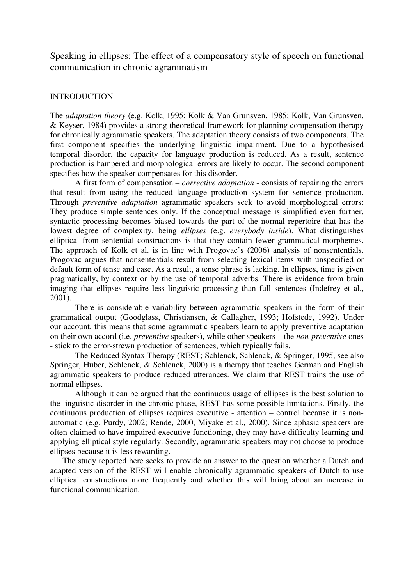Speaking in ellipses: The effect of a compensatory style of speech on functional communication in chronic agrammatism

# INTRODUCTION

The *adaptation theory* (e.g. Kolk, 1995; Kolk & Van Grunsven, 1985; Kolk, Van Grunsven, & Keyser, 1984) provides a strong theoretical framework for planning compensation therapy for chronically agrammatic speakers. The adaptation theory consists of two components. The first component specifies the underlying linguistic impairment. Due to a hypothesised temporal disorder, the capacity for language production is reduced. As a result, sentence production is hampered and morphological errors are likely to occur. The second component specifies how the speaker compensates for this disorder.

A first form of compensation – *corrective adaptation* - consists of repairing the errors that result from using the reduced language production system for sentence production. Through *preventive adaptation* agrammatic speakers seek to avoid morphological errors: They produce simple sentences only. If the conceptual message is simplified even further, syntactic processing becomes biased towards the part of the normal repertoire that has the lowest degree of complexity, being *ellipses* (e.g. *everybody inside*). What distinguishes elliptical from sentential constructions is that they contain fewer grammatical morphemes. The approach of Kolk et al. is in line with Progovac's (2006) analysis of nonsententials. Progovac argues that nonsententials result from selecting lexical items with unspecified or default form of tense and case. As a result, a tense phrase is lacking. In ellipses, time is given pragmatically, by context or by the use of temporal adverbs. There is evidence from brain imaging that ellipses require less linguistic processing than full sentences (Indefrey et al., 2001).

There is considerable variability between agrammatic speakers in the form of their grammatical output (Goodglass, Christiansen, & Gallagher, 1993; Hofstede, 1992). Under our account, this means that some agrammatic speakers learn to apply preventive adaptation on their own accord (i.e. *preventive* speakers), while other speakers – the *non-preventive* ones - stick to the error-strewn production of sentences, which typically fails.

The Reduced Syntax Therapy (REST; Schlenck, Schlenck, & Springer, 1995, see also Springer, Huber, Schlenck, & Schlenck, 2000) is a therapy that teaches German and English agrammatic speakers to produce reduced utterances. We claim that REST trains the use of normal ellipses.

Although it can be argued that the continuous usage of ellipses is the best solution to the linguistic disorder in the chronic phase, REST has some possible limitations. Firstly, the continuous production of ellipses requires executive - attention – control because it is nonautomatic (e.g. Purdy, 2002; Rende, 2000, Miyake et al., 2000). Since aphasic speakers are often claimed to have impaired executive functioning, they may have difficulty learning and applying elliptical style regularly. Secondly, agrammatic speakers may not choose to produce ellipses because it is less rewarding.

The study reported here seeks to provide an answer to the question whether a Dutch and adapted version of the REST will enable chronically agrammatic speakers of Dutch to use elliptical constructions more frequently and whether this will bring about an increase in functional communication.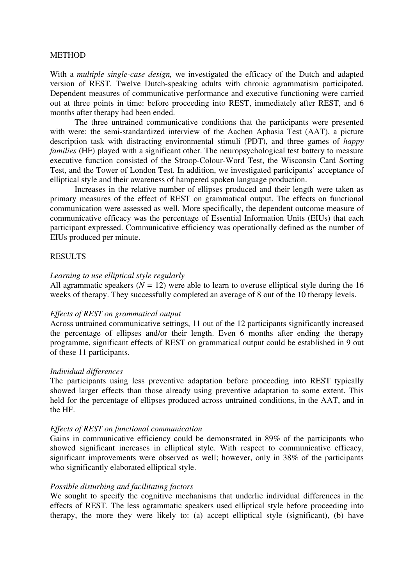## **METHOD**

With a *multiple single-case design,* we investigated the efficacy of the Dutch and adapted version of REST. Twelve Dutch-speaking adults with chronic agrammatism participated. Dependent measures of communicative performance and executive functioning were carried out at three points in time: before proceeding into REST, immediately after REST, and 6 months after therapy had been ended.

The three untrained communicative conditions that the participants were presented with were: the semi-standardized interview of the Aachen Aphasia Test (AAT), a picture description task with distracting environmental stimuli (PDT), and three games of *happy families* (HF) played with a significant other. The neuropsychological test battery to measure executive function consisted of the Stroop-Colour-Word Test, the Wisconsin Card Sorting Test, and the Tower of London Test. In addition, we investigated participants' acceptance of elliptical style and their awareness of hampered spoken language production.

Increases in the relative number of ellipses produced and their length were taken as primary measures of the effect of REST on grammatical output. The effects on functional communication were assessed as well. More specifically, the dependent outcome measure of communicative efficacy was the percentage of Essential Information Units (EIUs) that each participant expressed. Communicative efficiency was operationally defined as the number of EIUs produced per minute.

# RESULTS

## *Learning to use elliptical style regularly*

All agrammatic speakers  $(N = 12)$  were able to learn to overuse elliptical style during the 16 weeks of therapy. They successfully completed an average of 8 out of the 10 therapy levels.

### *Effects of REST on grammatical output*

Across untrained communicative settings, 11 out of the 12 participants significantly increased the percentage of ellipses and/or their length. Even 6 months after ending the therapy programme, significant effects of REST on grammatical output could be established in 9 out of these 11 participants.

#### *Individual differences*

The participants using less preventive adaptation before proceeding into REST typically showed larger effects than those already using preventive adaptation to some extent. This held for the percentage of ellipses produced across untrained conditions, in the AAT, and in the HF.

## *Effects of REST on functional communication*

Gains in communicative efficiency could be demonstrated in 89*%* of the participants who showed significant increases in elliptical style. With respect to communicative efficacy, significant improvements were observed as well; however, only in 38*%* of the participants who significantly elaborated elliptical style.

#### *Possible disturbing and facilitating factors*

We sought to specify the cognitive mechanisms that underlie individual differences in the effects of REST. The less agrammatic speakers used elliptical style before proceeding into therapy, the more they were likely to: (a) accept elliptical style (significant), (b) have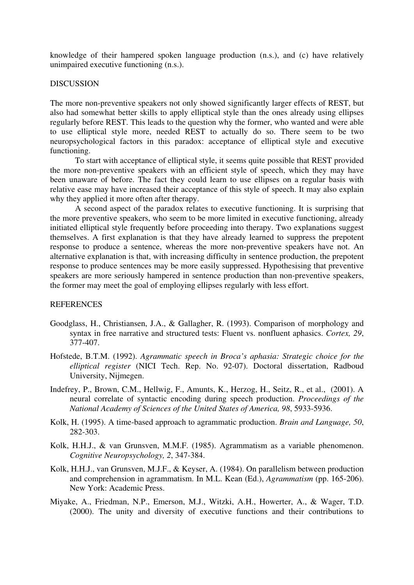knowledge of their hampered spoken language production (n.s.), and (c) have relatively unimpaired executive functioning (n.s.).

## **DISCUSSION**

The more non-preventive speakers not only showed significantly larger effects of REST, but also had somewhat better skills to apply elliptical style than the ones already using ellipses regularly before REST. This leads to the question why the former, who wanted and were able to use elliptical style more, needed REST to actually do so. There seem to be two neuropsychological factors in this paradox: acceptance of elliptical style and executive functioning.

To start with acceptance of elliptical style, it seems quite possible that REST provided the more non-preventive speakers with an efficient style of speech, which they may have been unaware of before. The fact they could learn to use ellipses on a regular basis with relative ease may have increased their acceptance of this style of speech. It may also explain why they applied it more often after therapy.

A second aspect of the paradox relates to executive functioning. It is surprising that the more preventive speakers, who seem to be more limited in executive functioning, already initiated elliptical style frequently before proceeding into therapy. Two explanations suggest themselves. A first explanation is that they have already learned to suppress the prepotent response to produce a sentence, whereas the more non-preventive speakers have not. An alternative explanation is that, with increasing difficulty in sentence production, the prepotent response to produce sentences may be more easily suppressed. Hypothesising that preventive speakers are more seriously hampered in sentence production than non-preventive speakers, the former may meet the goal of employing ellipses regularly with less effort.

## REFERENCES

- Goodglass, H., Christiansen, J.A., & Gallagher, R. (1993). Comparison of morphology and syntax in free narrative and structured tests: Fluent vs. nonfluent aphasics. *Cortex, 29*, 377-407.
- Hofstede, B.T.M. (1992). *Agrammatic speech in Broca's aphasia: Strategic choice for the elliptical register* (NICI Tech. Rep. No. 92-07). Doctoral dissertation, Radboud University, Nijmegen.
- Indefrey, P., Brown, C.M., Hellwig, F., Amunts, K., Herzog, H., Seitz, R., et al., (2001). A neural correlate of syntactic encoding during speech production. *Proceedings of the National Academy of Sciences of the United States of America, 98*, 5933-5936.
- Kolk, H. (1995). A time-based approach to agrammatic production. *Brain and Language, 50*, 282-303.
- Kolk, H.H.J., & van Grunsven, M.M.F. (1985). Agrammatism as a variable phenomenon. *Cognitive Neuropsychology, 2*, 347-384.
- Kolk, H.H.J., van Grunsven, M.J.F., & Keyser, A. (1984). On parallelism between production and comprehension in agrammatism. In M.L. Kean (Ed.), *Agrammatism* (pp. 165-206). New York: Academic Press.
- Miyake, A., Friedman, N.P., Emerson, M.J., Witzki, A.H., Howerter, A., & Wager, T.D. (2000). The unity and diversity of executive functions and their contributions to